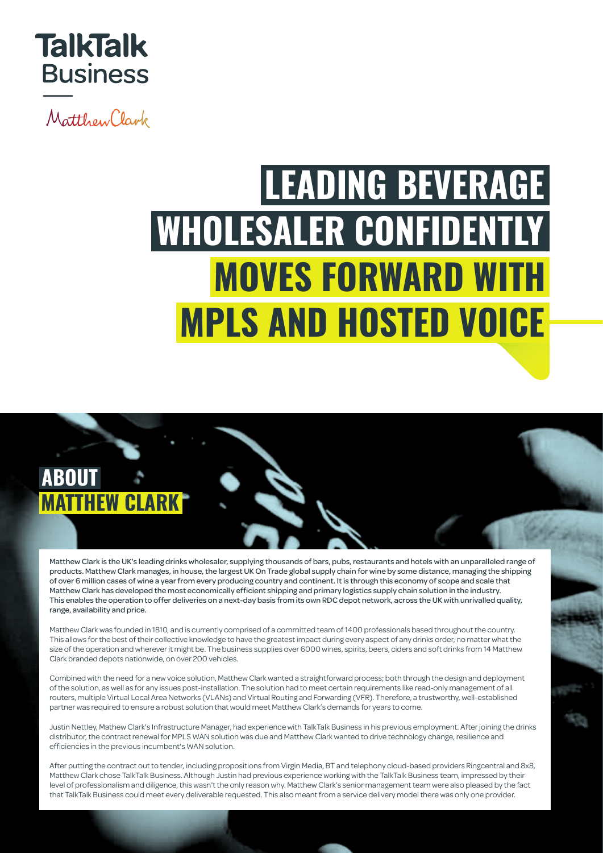

Matthew Clark

## **LEADING BEVERAGE WHOLESALER CONFIDENTLY MOVES FORWARD WITH MPLS AND HOSTED VOICE**

## **ABOUT MATTHEW CLARK**

talktalkbusiness.co.uk

Matthew Clark is the UK's leading drinks wholesaler, supplying thousands of bars, pubs, restaurants and hotels with an unparalleled range of products. Matthew Clark manages, in house, the largest UK On Trade global supply chain for wine by some distance, managing the shipping of over 6 million cases of wine a year from every producing country and continent. It is through this economy of scope and scale that Matthew Clark has developed the most economically efficient shipping and primary logistics supply chain solution in the industry. This enables the operation to offer deliveries on a next-day basis from its own RDC depot network, across the UK with unrivalled quality, range, availability and price.

Matthew Clark was founded in 1810, and is currently comprised of a committed team of 1400 professionals based throughout the country. This allows for the best of their collective knowledge to have the greatest impact during every aspect of any drinks order, no matter what the size of the operation and wherever it might be. The business supplies over 6000 wines, spirits, beers, ciders and soft drinks from 14 Matthew Clark branded depots nationwide, on over 200 vehicles.

Combined with the need for a new voice solution, Matthew Clark wanted a straightforward process; both through the design and deployment of the solution, as well as for any issues post-installation. The solution had to meet certain requirements like read-only management of all routers, multiple Virtual Local Area Networks (VLANs) and Virtual Routing and Forwarding (VFR). Therefore, a trustworthy, well-established partner was required to ensure a robust solution that would meet Matthew Clark's demands for years to come.

Justin Nettley, Mathew Clark's Infrastructure Manager, had experience with TalkTalk Business in his previous employment. After joining the drinks distributor, the contract renewal for MPLS WAN solution was due and Matthew Clark wanted to drive technology change, resilience and efficiencies in the previous incumbent's WAN solution.

After putting the contract out to tender, including propositions from Virgin Media, BT and telephony cloud-based providers Ringcentral and 8x8, Matthew Clark chose TalkTalk Business. Although Justin had previous experience working with the TalkTalk Business team, impressed by their level of professionalism and diligence, this wasn't the only reason why. Matthew Clark's senior management team were also pleased by the fact that TalkTalk Business could meet every deliverable requested. This also meant from a service delivery model there was only one provider.